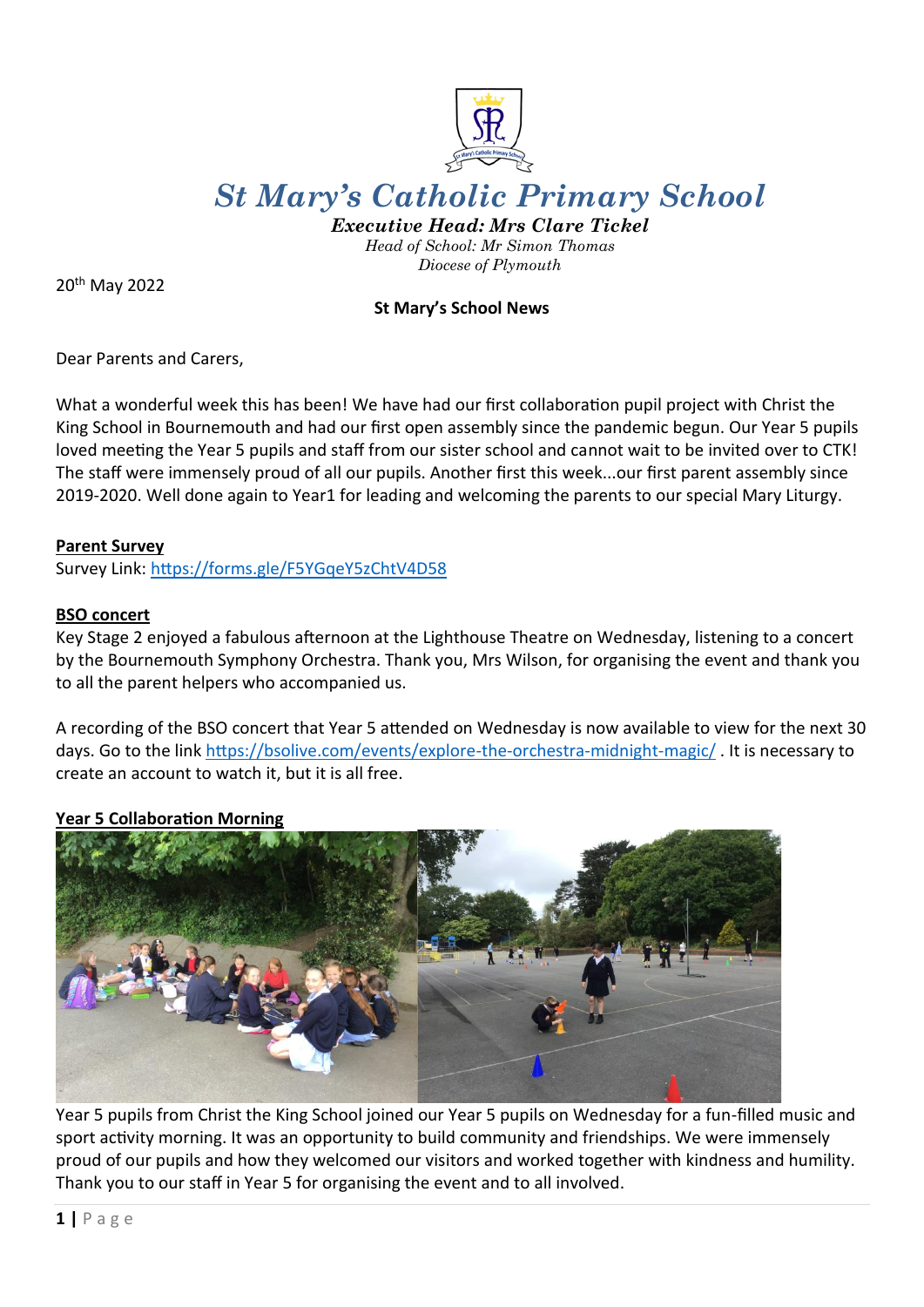

# *St Mary's Catholic Primary School*

*Executive Head: Mrs Clare Tickel Head of School: Mr Simon Thomas Diocese of Plymouth*

20th May 2022

# **St Mary's School News**

Dear Parents and Carers,

What a wonderful week this has been! We have had our first collaboration pupil project with Christ the King School in Bournemouth and had our first open assembly since the pandemic begun. Our Year 5 pupils loved meeting the Year 5 pupils and staff from our sister school and cannot wait to be invited over to CTK! The staff were immensely proud of all our pupils. Another first this week...our first parent assembly since 2019-2020. Well done again to Year1 for leading and welcoming the parents to our special Mary Liturgy.

#### **Parent Survey**

Survey Link:<https://forms.gle/F5YGqeY5zChtV4D58>

#### **BSO concert**

Key Stage 2 enjoyed a fabulous afternoon at the Lighthouse Theatre on Wednesday, listening to a concert by the Bournemouth Symphony Orchestra. Thank you, Mrs Wilson, for organising the event and thank you to all the parent helpers who accompanied us.

A recording of the BSO concert that Year 5 attended on Wednesday is now available to view for the next 30 days. Go to the link<https://bsolive.com/events/explore-the-orchestra-midnight-magic/> . It is necessary to create an account to watch it, but it is all free.

#### **Year 5 Collaboration Morning**



Year 5 pupils from Christ the King School joined our Year 5 pupils on Wednesday for a fun-filled music and sport activity morning. It was an opportunity to build community and friendships. We were immensely proud of our pupils and how they welcomed our visitors and worked together with kindness and humility. Thank you to our staff in Year 5 for organising the event and to all involved.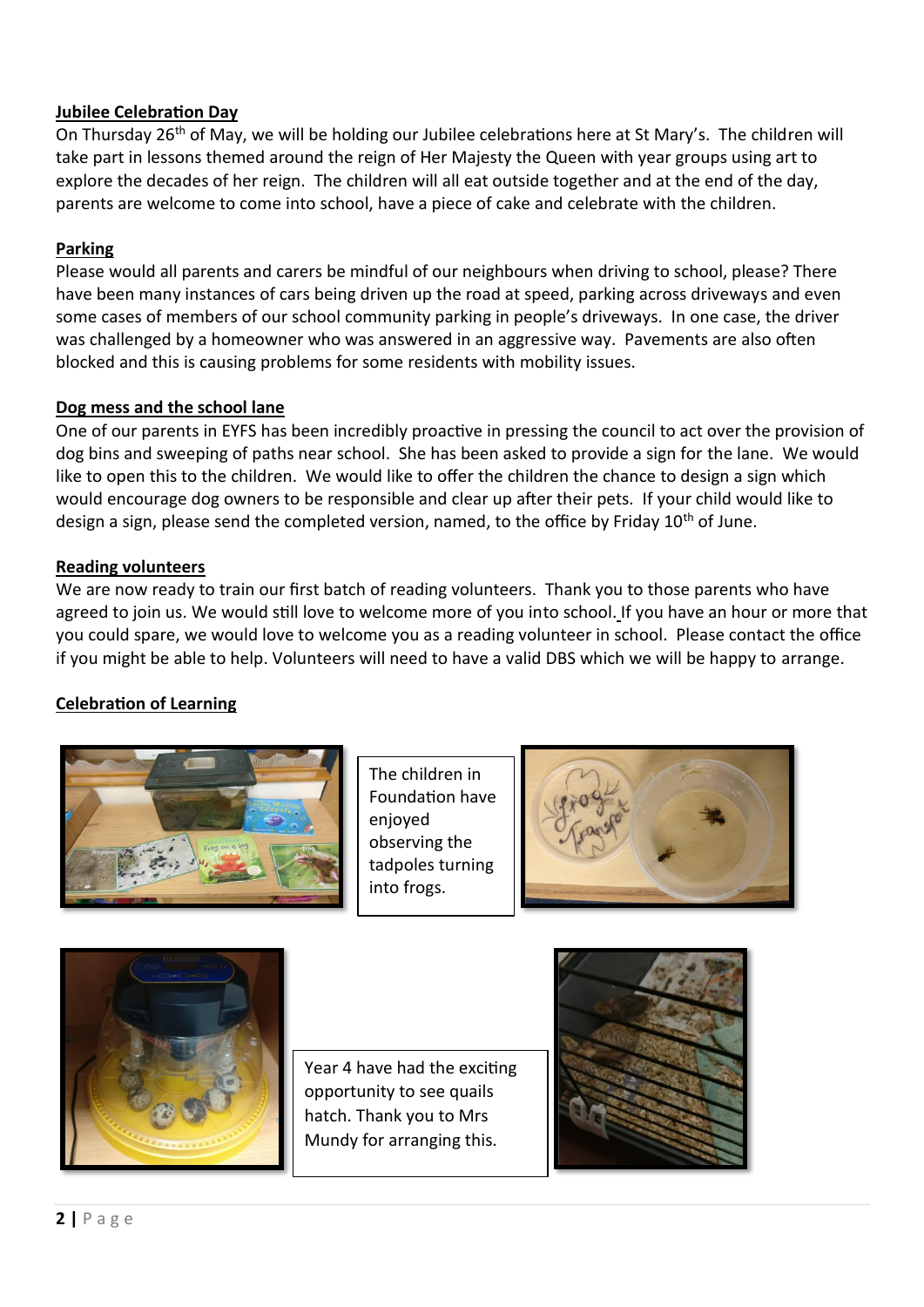## **Jubilee Celebration Day**

On Thursday 26th of May, we will be holding our Jubilee celebrations here at St Mary's. The children will take part in lessons themed around the reign of Her Majesty the Queen with year groups using art to explore the decades of her reign. The children will all eat outside together and at the end of the day, parents are welcome to come into school, have a piece of cake and celebrate with the children.

# **Parking**

Please would all parents and carers be mindful of our neighbours when driving to school, please? There have been many instances of cars being driven up the road at speed, parking across driveways and even some cases of members of our school community parking in people's driveways. In one case, the driver was challenged by a homeowner who was answered in an aggressive way. Pavements are also often blocked and this is causing problems for some residents with mobility issues.

## **Dog mess and the school lane**

One of our parents in EYFS has been incredibly proactive in pressing the council to act over the provision of dog bins and sweeping of paths near school. She has been asked to provide a sign for the lane. We would like to open this to the children. We would like to offer the children the chance to design a sign which would encourage dog owners to be responsible and clear up after their pets. If your child would like to design a sign, please send the completed version, named, to the office by Friday 10<sup>th</sup> of June.

## **Reading volunteers**

We are now ready to train our first batch of reading volunteers. Thank you to those parents who have agreed to join us. We would still love to welcome more of you into school. If you have an hour or more that you could spare, we would love to welcome you as a reading volunteer in school. Please contact the office if you might be able to help. Volunteers will need to have a valid DBS which we will be happy to arrange.

# **Celebration of Learning**



The children in Foundation have enjoyed observing the tadpoles turning into frogs.





Year 4 have had the exciting opportunity to see quails hatch. Thank you to Mrs Mundy for arranging this.

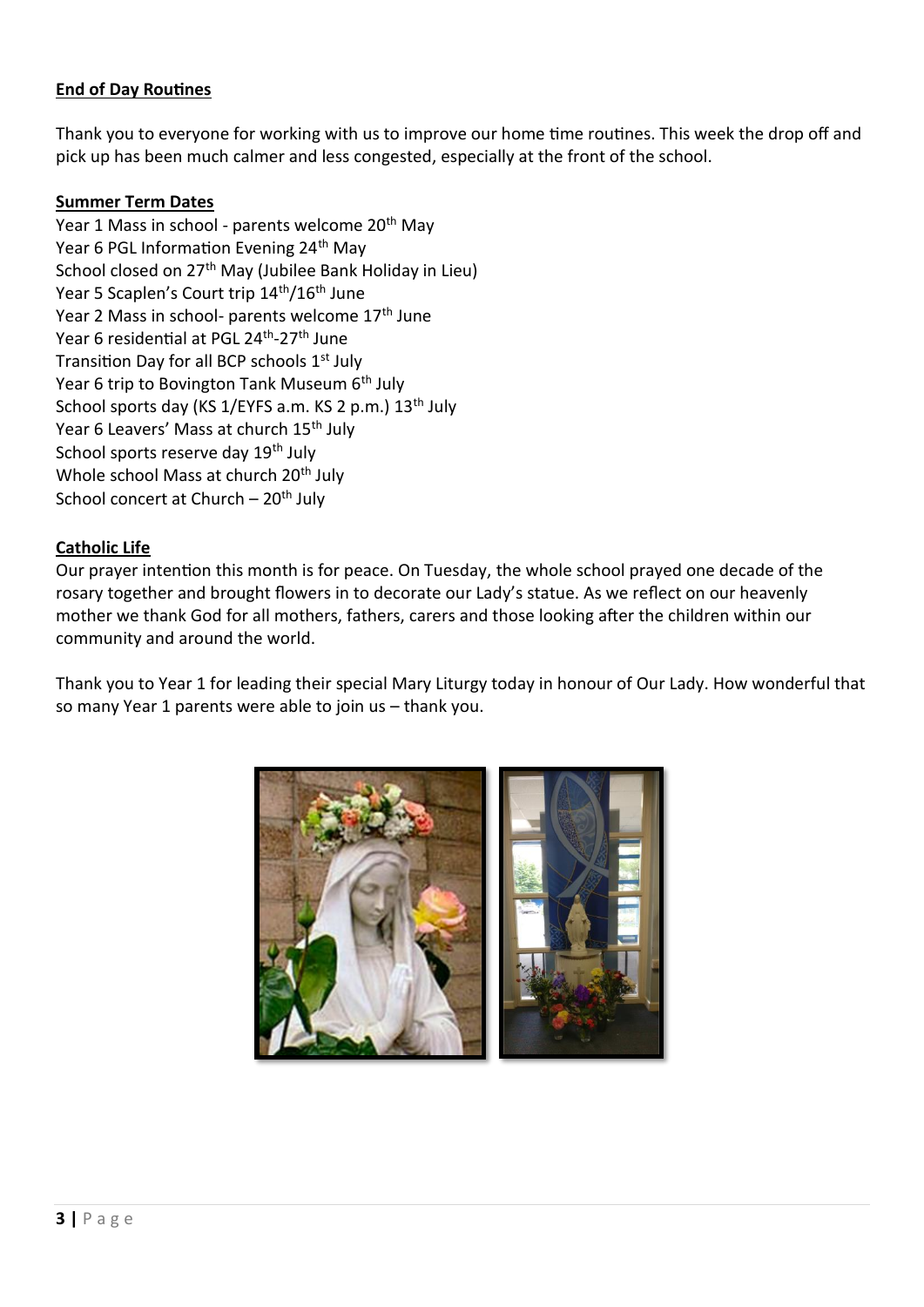## **End of Day Routines**

Thank you to everyone for working with us to improve our home time routines. This week the drop off and pick up has been much calmer and less congested, especially at the front of the school.

#### **Summer Term Dates**

Year 1 Mass in school - parents welcome 20<sup>th</sup> May Year 6 PGL Information Evening 24<sup>th</sup> May School closed on 27<sup>th</sup> May (Jubilee Bank Holiday in Lieu) Year 5 Scaplen's Court trip 14<sup>th</sup>/16<sup>th</sup> June Year 2 Mass in school- parents welcome 17<sup>th</sup> June Year 6 residential at PGL 24<sup>th</sup>-27<sup>th</sup> June Transition Day for all BCP schools 1<sup>st</sup> July Year 6 trip to Bovington Tank Museum 6<sup>th</sup> July School sports day (KS 1/EYFS a.m. KS 2 p.m.) 13<sup>th</sup> July Year 6 Leavers' Mass at church 15<sup>th</sup> July School sports reserve day 19<sup>th</sup> July Whole school Mass at church 20<sup>th</sup> July School concert at Church –  $20<sup>th</sup>$  July

#### **Catholic Life**

Our prayer intention this month is for peace. On Tuesday, the whole school prayed one decade of the rosary together and brought flowers in to decorate our Lady's statue. As we reflect on our heavenly mother we thank God for all mothers, fathers, carers and those looking after the children within our community and around the world.

Thank you to Year 1 for leading their special Mary Liturgy today in honour of Our Lady. How wonderful that so many Year 1 parents were able to join us – thank you.

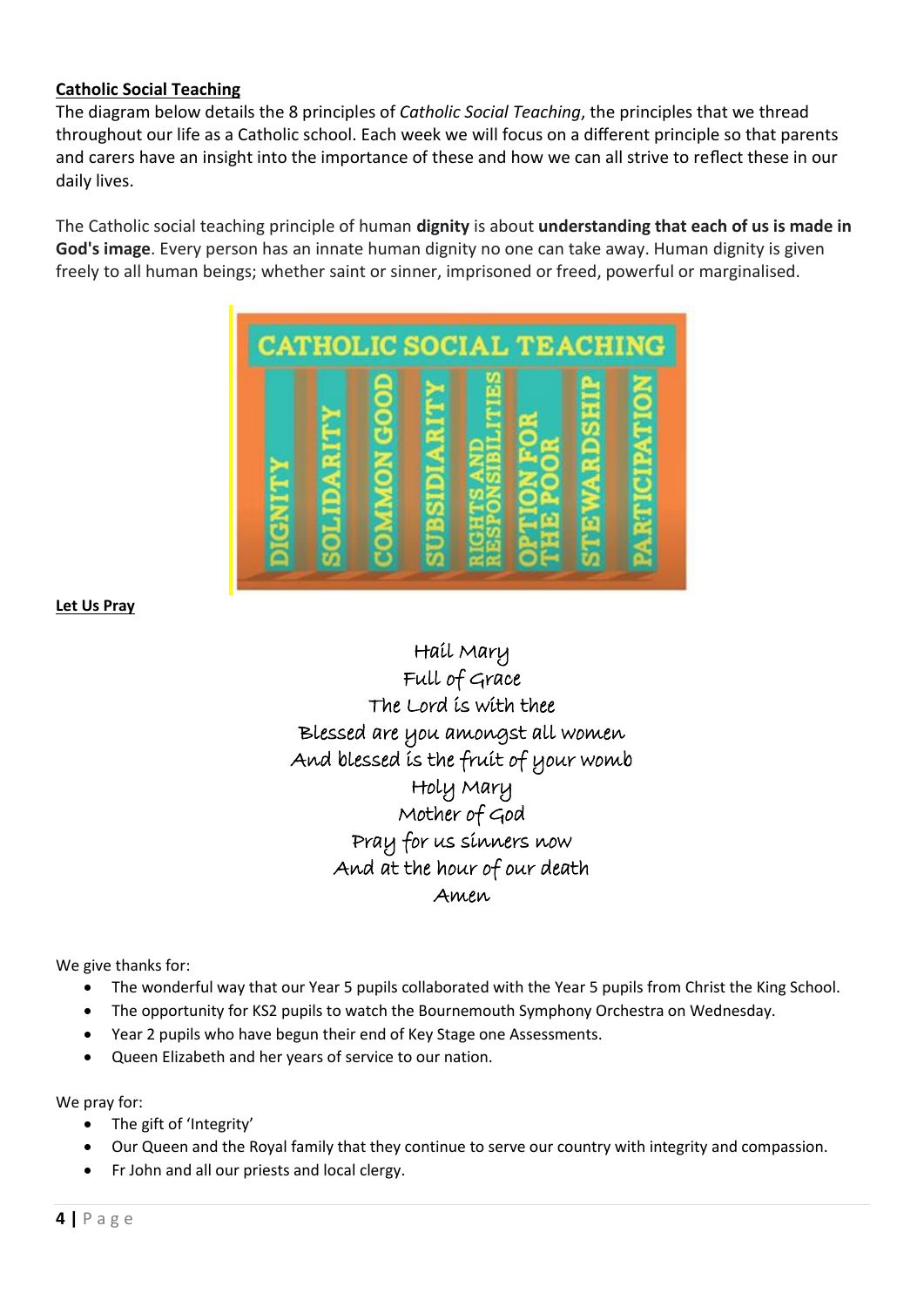## **Catholic Social Teaching**

The diagram below details the 8 principles of *Catholic Social Teaching*, the principles that we thread throughout our life as a Catholic school. Each week we will focus on a different principle so that parents and carers have an insight into the importance of these and how we can all strive to reflect these in our daily lives.

The Catholic social teaching principle of human **dignity** is about **understanding that each of us is made in God's image**. Every person has an innate human dignity no one can take away. Human dignity is given freely to all human beings; whether saint or sinner, imprisoned or freed, powerful or marginalised.



**Let Us Pray**

# Hail Mary Full of Grace The Lord is with thee Blessed are you amongst all women And blessed is the fruit of your womb Holy Mary Mother of God Pray for us sinners now And at the hour of our death Amen

We give thanks for:

- The wonderful way that our Year 5 pupils collaborated with the Year 5 pupils from Christ the King School.
- The opportunity for KS2 pupils to watch the Bournemouth Symphony Orchestra on Wednesday.
- Year 2 pupils who have begun their end of Key Stage one Assessments.
- Queen Elizabeth and her years of service to our nation.

We pray for:

- The gift of 'Integrity'
- Our Queen and the Royal family that they continue to serve our country with integrity and compassion.
- Fr John and all our priests and local clergy.